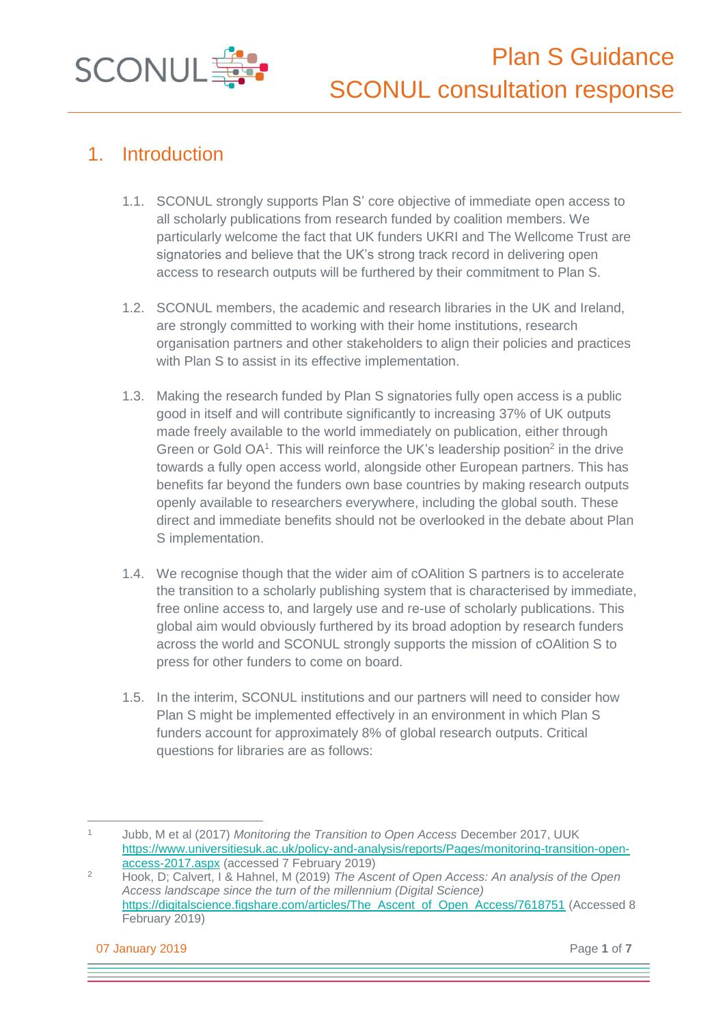

## 1. Introduction

- 1.1. SCONUL strongly supports Plan S' core objective of immediate open access to all scholarly publications from research funded by coalition members. We particularly welcome the fact that UK funders UKRI and The Wellcome Trust are signatories and believe that the UK's strong track record in delivering open access to research outputs will be furthered by their commitment to Plan S.
- 1.2. SCONUL members, the academic and research libraries in the UK and Ireland, are strongly committed to working with their home institutions, research organisation partners and other stakeholders to align their policies and practices with Plan S to assist in its effective implementation.
- 1.3. Making the research funded by Plan S signatories fully open access is a public good in itself and will contribute significantly to increasing 37% of UK outputs made freely available to the world immediately on publication, either through Green or Gold OA<sup>1</sup>. This will reinforce the UK's leadership position<sup>2</sup> in the drive towards a fully open access world, alongside other European partners. This has benefits far beyond the funders own base countries by making research outputs openly available to researchers everywhere, including the global south. These direct and immediate benefits should not be overlooked in the debate about Plan S implementation.
- 1.4. We recognise though that the wider aim of cOAlition S partners is to accelerate the transition to a scholarly publishing system that is characterised by immediate, free online access to, and largely use and re-use of scholarly publications. This global aim would obviously furthered by its broad adoption by research funders across the world and SCONUL strongly supports the mission of cOAlition S to press for other funders to come on board.
- 1.5. In the interim, SCONUL institutions and our partners will need to consider how Plan S might be implemented effectively in an environment in which Plan S funders account for approximately 8% of global research outputs. Critical questions for libraries are as follows:

07 January 2019 Page **1** of **7**

<sup>1</sup> Jubb, M et al (2017) *Monitoring the Transition to Open Access* December 2017, UUK [https://www.universitiesuk.ac.uk/policy-and-analysis/reports/Pages/monitoring-transition-open](https://www.universitiesuk.ac.uk/policy-and-analysis/reports/Pages/monitoring-transition-open-access-2017.aspx)[access-2017.aspx](https://www.universitiesuk.ac.uk/policy-and-analysis/reports/Pages/monitoring-transition-open-access-2017.aspx) (accessed 7 February 2019)

<sup>2</sup> Hook, D; Calvert, I & Hahnel, M (2019) *The Ascent of Open Access: An analysis of the Open Access landscape since the turn of the millennium (Digital Science)*  [https://digitalscience.figshare.com/articles/The\\_Ascent\\_of\\_Open\\_Access/7618751](https://digitalscience.figshare.com/articles/The_Ascent_of_Open_Access/7618751) (Accessed 8 February 2019)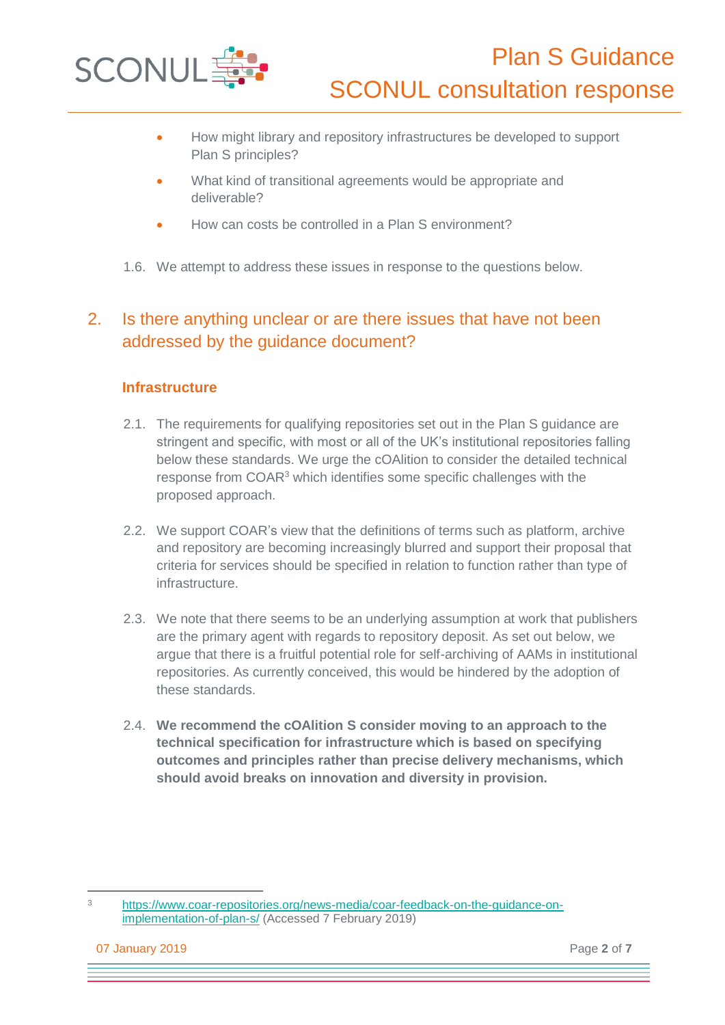

- How might library and repository infrastructures be developed to support Plan S principles?
- What kind of transitional agreements would be appropriate and deliverable?
- How can costs be controlled in a Plan S environment?
- 1.6. We attempt to address these issues in response to the questions below.

### 2. Is there anything unclear or are there issues that have not been addressed by the guidance document?

#### **Infrastructure**

- 2.1. The requirements for qualifying repositories set out in the Plan S guidance are stringent and specific, with most or all of the UK's institutional repositories falling below these standards. We urge the cOAlition to consider the detailed technical response from COAR<sup>3</sup> which identifies some specific challenges with the proposed approach.
- 2.2. We support COAR's view that the definitions of terms such as platform, archive and repository are becoming increasingly blurred and support their proposal that criteria for services should be specified in relation to function rather than type of infrastructure.
- 2.3. We note that there seems to be an underlying assumption at work that publishers are the primary agent with regards to repository deposit. As set out below, we argue that there is a fruitful potential role for self-archiving of AAMs in institutional repositories. As currently conceived, this would be hindered by the adoption of these standards.
- 2.4. **We recommend the cOAlition S consider moving to an approach to the technical specification for infrastructure which is based on specifying outcomes and principles rather than precise delivery mechanisms, which should avoid breaks on innovation and diversity in provision.**

<sup>3</sup> [https://www.coar-repositories.org/news-media/coar-feedback-on-the-guidance-on](https://www.coar-repositories.org/news-media/coar-feedback-on-the-guidance-on-implementation-of-plan-s/)[implementation-of-plan-s/](https://www.coar-repositories.org/news-media/coar-feedback-on-the-guidance-on-implementation-of-plan-s/) (Accessed 7 February 2019)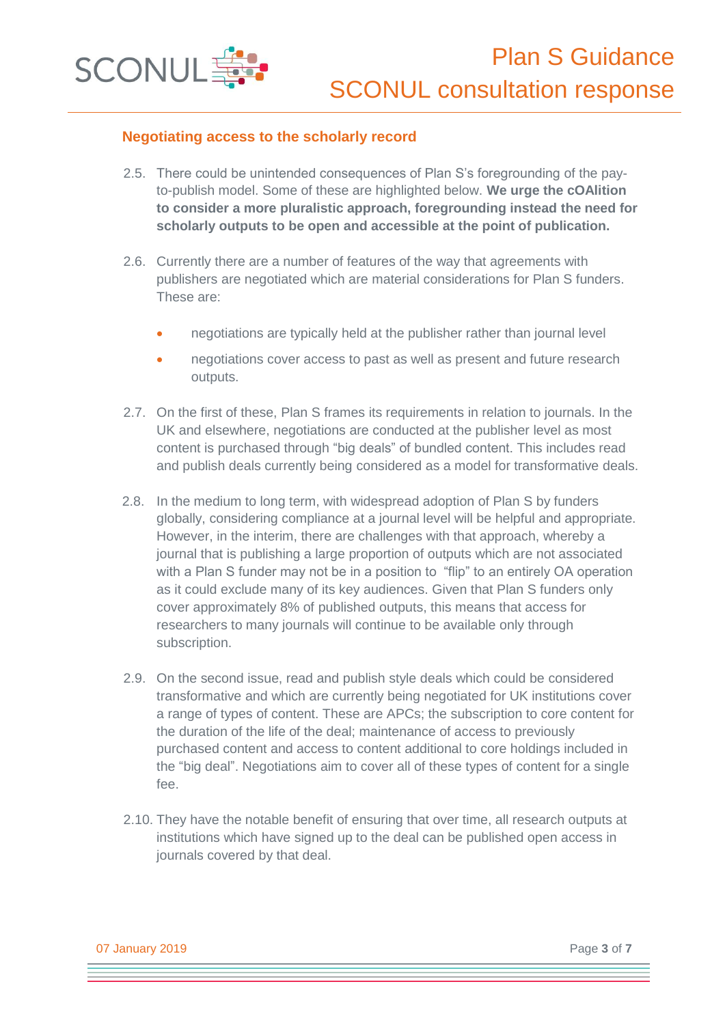

#### **Negotiating access to the scholarly record**

- 2.5. There could be unintended consequences of Plan S's foregrounding of the payto-publish model. Some of these are highlighted below. **We urge the cOAlition to consider a more pluralistic approach, foregrounding instead the need for scholarly outputs to be open and accessible at the point of publication.**
- 2.6. Currently there are a number of features of the way that agreements with publishers are negotiated which are material considerations for Plan S funders. These are:
	- negotiations are typically held at the publisher rather than journal level
	- negotiations cover access to past as well as present and future research outputs.
- 2.7. On the first of these, Plan S frames its requirements in relation to journals. In the UK and elsewhere, negotiations are conducted at the publisher level as most content is purchased through "big deals" of bundled content. This includes read and publish deals currently being considered as a model for transformative deals.
- 2.8. In the medium to long term, with widespread adoption of Plan S by funders globally, considering compliance at a journal level will be helpful and appropriate. However, in the interim, there are challenges with that approach, whereby a journal that is publishing a large proportion of outputs which are not associated with a Plan S funder may not be in a position to "flip" to an entirely OA operation as it could exclude many of its key audiences. Given that Plan S funders only cover approximately 8% of published outputs, this means that access for researchers to many journals will continue to be available only through subscription.
- 2.9. On the second issue, read and publish style deals which could be considered transformative and which are currently being negotiated for UK institutions cover a range of types of content. These are APCs; the subscription to core content for the duration of the life of the deal; maintenance of access to previously purchased content and access to content additional to core holdings included in the "big deal". Negotiations aim to cover all of these types of content for a single fee.
- 2.10. They have the notable benefit of ensuring that over time, all research outputs at institutions which have signed up to the deal can be published open access in journals covered by that deal.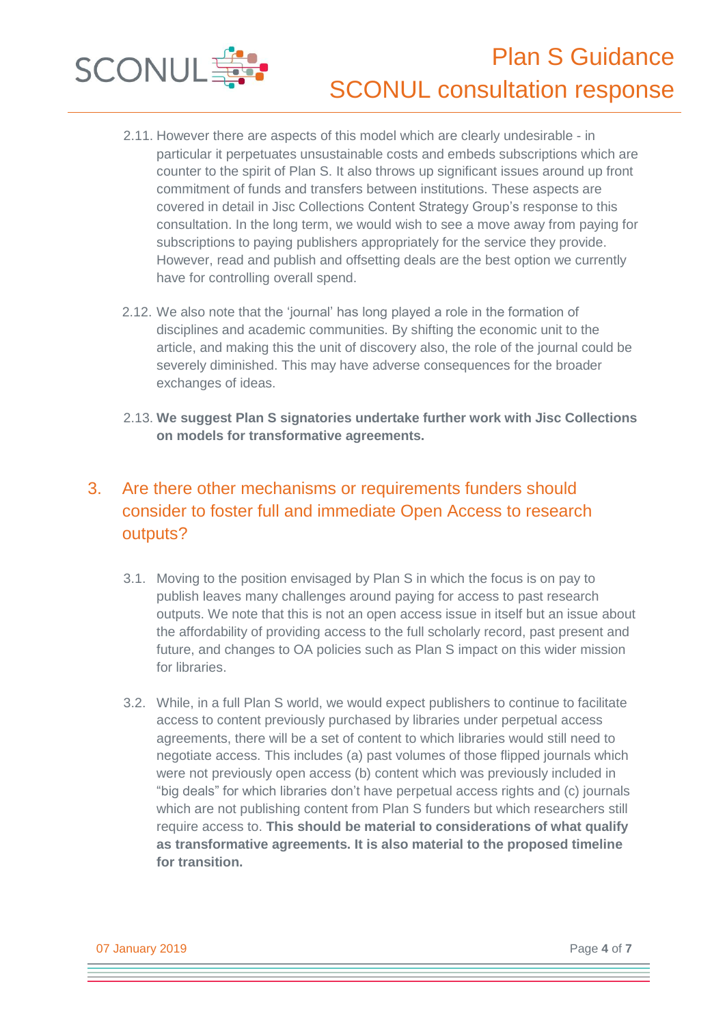



- 2.12. We also note that the 'journal' has long played a role in the formation of disciplines and academic communities. By shifting the economic unit to the article, and making this the unit of discovery also, the role of the journal could be severely diminished. This may have adverse consequences for the broader exchanges of ideas.
- 2.13. **We suggest Plan S signatories undertake further work with Jisc Collections on models for transformative agreements.**

## 3. Are there other mechanisms or requirements funders should consider to foster full and immediate Open Access to research outputs?

- 3.1. Moving to the position envisaged by Plan S in which the focus is on pay to publish leaves many challenges around paying for access to past research outputs. We note that this is not an open access issue in itself but an issue about the affordability of providing access to the full scholarly record, past present and future, and changes to OA policies such as Plan S impact on this wider mission for libraries.
- 3.2. While, in a full Plan S world, we would expect publishers to continue to facilitate access to content previously purchased by libraries under perpetual access agreements, there will be a set of content to which libraries would still need to negotiate access. This includes (a) past volumes of those flipped journals which were not previously open access (b) content which was previously included in "big deals" for which libraries don't have perpetual access rights and (c) journals which are not publishing content from Plan S funders but which researchers still require access to. **This should be material to considerations of what qualify as transformative agreements. It is also material to the proposed timeline for transition.**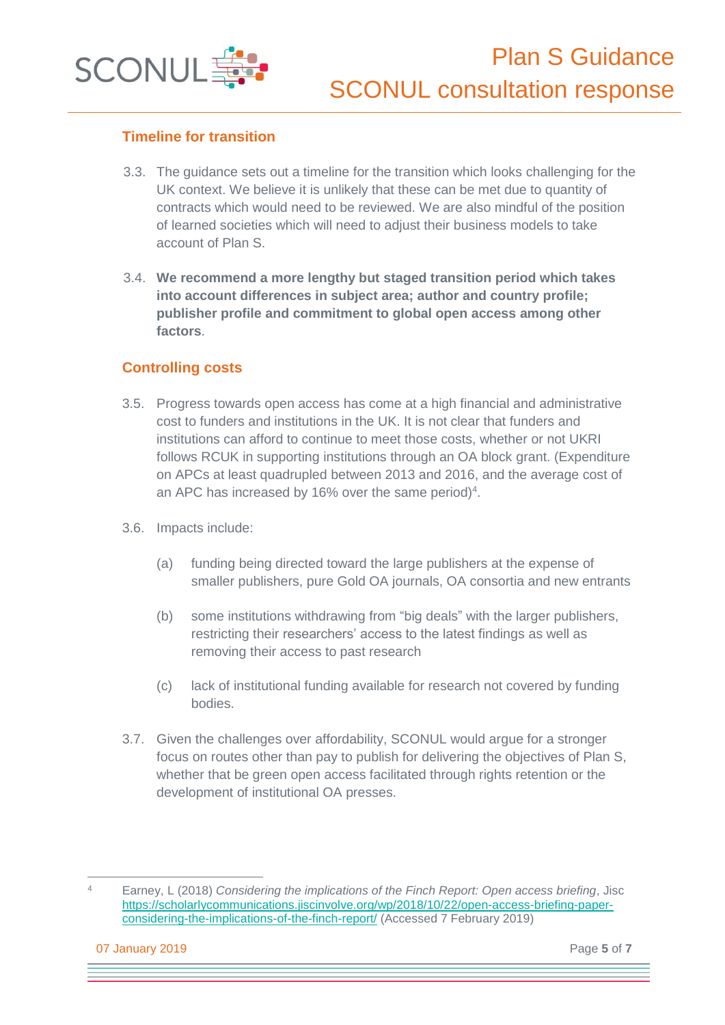

#### **Timeline for transition**

- 3.3. The guidance sets out a timeline for the transition which looks challenging for the UK context. We believe it is unlikely that these can be met due to quantity of contracts which would need to be reviewed. We are also mindful of the position of learned societies which will need to adjust their business models to take account of Plan S.
- 3.4. **We recommend a more lengthy but staged transition period which takes into account differences in subject area; author and country profile; publisher profile and commitment to global open access among other factors**.

#### **Controlling costs**

- 3.5. Progress towards open access has come at a high financial and administrative cost to funders and institutions in the UK. It is not clear that funders and institutions can afford to continue to meet those costs, whether or not UKRI follows RCUK in supporting institutions through an OA block grant. (Expenditure on APCs at least quadrupled between 2013 and 2016, and the average cost of an APC has increased by 16% over the same period)<sup>4</sup>.
- 3.6. Impacts include:
	- (a) funding being directed toward the large publishers at the expense of smaller publishers, pure Gold OA journals, OA consortia and new entrants
	- (b) some institutions withdrawing from "big deals" with the larger publishers, restricting their researchers' access to the latest findings as well as removing their access to past research
	- (c) lack of institutional funding available for research not covered by funding bodies.
- 3.7. Given the challenges over affordability, SCONUL would argue for a stronger focus on routes other than pay to publish for delivering the objectives of Plan S, whether that be green open access facilitated through rights retention or the development of institutional OA presses.

<sup>4</sup> Earney, L (2018) *Considering the implications of the Finch Report: Open access briefing*, Jisc [https://scholarlycommunications.jiscinvolve.org/wp/2018/10/22/open-access-briefing-paper](https://scholarlycommunications.jiscinvolve.org/wp/2018/10/22/open-access-briefing-paper-considering-the-implications-of-the-finch-report/)[considering-the-implications-of-the-finch-report/](https://scholarlycommunications.jiscinvolve.org/wp/2018/10/22/open-access-briefing-paper-considering-the-implications-of-the-finch-report/) (Accessed 7 February 2019)

07 January 2019 Page **5** of **7**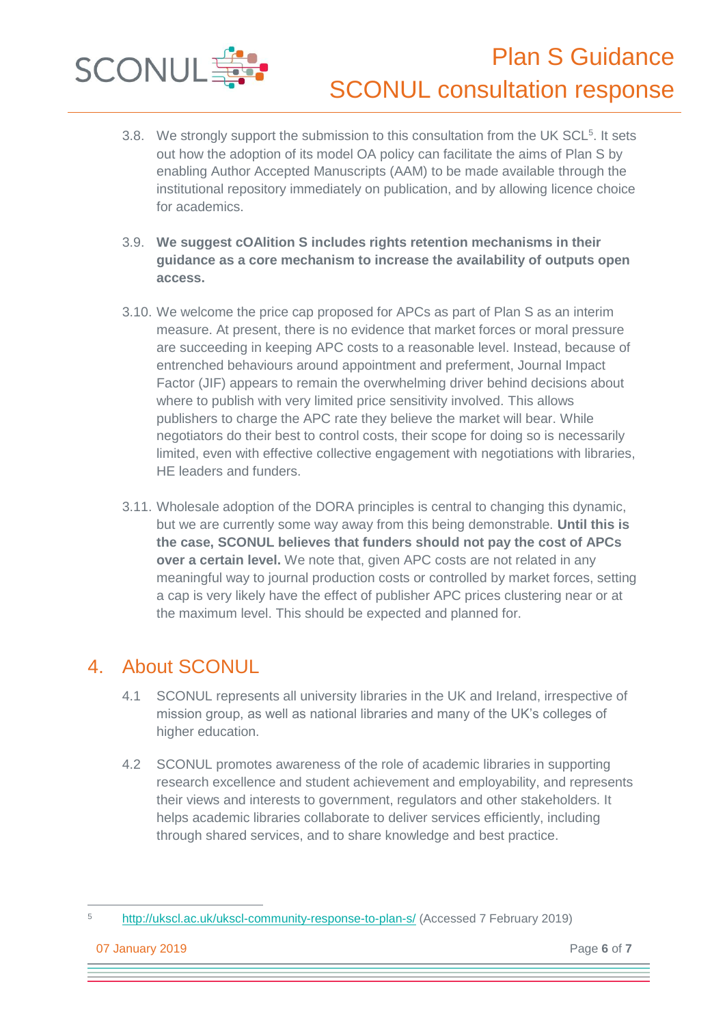

- 3.8. We strongly support the submission to this consultation from the UK SCL<sup>5</sup>. It sets out how the adoption of its model OA policy can facilitate the aims of Plan S by enabling Author Accepted Manuscripts (AAM) to be made available through the institutional repository immediately on publication, and by allowing licence choice for academics.
- 3.9. **We suggest cOAlition S includes rights retention mechanisms in their guidance as a core mechanism to increase the availability of outputs open access.**
- 3.10. We welcome the price cap proposed for APCs as part of Plan S as an interim measure. At present, there is no evidence that market forces or moral pressure are succeeding in keeping APC costs to a reasonable level. Instead, because of entrenched behaviours around appointment and preferment, Journal Impact Factor (JIF) appears to remain the overwhelming driver behind decisions about where to publish with very limited price sensitivity involved. This allows publishers to charge the APC rate they believe the market will bear. While negotiators do their best to control costs, their scope for doing so is necessarily limited, even with effective collective engagement with negotiations with libraries, HE leaders and funders.
- 3.11. Wholesale adoption of the DORA principles is central to changing this dynamic, but we are currently some way away from this being demonstrable. **Until this is the case, SCONUL believes that funders should not pay the cost of APCs over a certain level.** We note that, given APC costs are not related in any meaningful way to journal production costs or controlled by market forces, setting a cap is very likely have the effect of publisher APC prices clustering near or at the maximum level. This should be expected and planned for.

## 4. About SCONUL

- 4.1 SCONUL represents all university libraries in the UK and Ireland, irrespective of mission group, as well as national libraries and many of the UK's colleges of higher education.
- 4.2 SCONUL promotes awareness of the role of academic libraries in supporting research excellence and student achievement and employability, and represents their views and interests to government, regulators and other stakeholders. It helps academic libraries collaborate to deliver services efficiently, including through shared services, and to share knowledge and best practice.

<sup>5</sup> <http://ukscl.ac.uk/ukscl-community-response-to-plan-s/> (Accessed 7 February 2019)